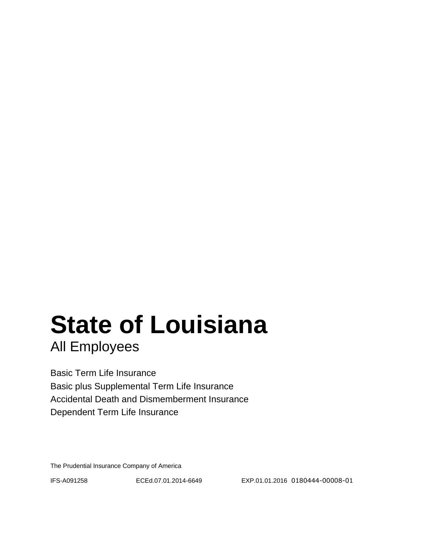# **State of Louisiana**

All Employees

Basic Term Life Insurance Basic plus Supplemental Term Life Insurance Accidental Death and Dismemberment Insurance Dependent Term Life Insurance

The Prudential Insurance Company of America

IFS-A091258 ECEd.07.01.2014-6649 EXP.01.01.2016 0180444-00008-01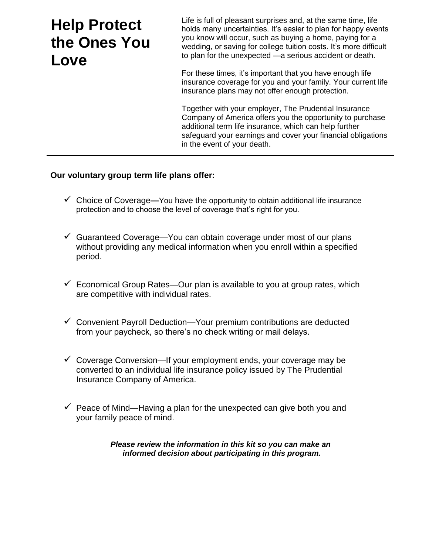## **Help Protect the Ones You Love**

Life is full of pleasant surprises and, at the same time, life holds many uncertainties. It's easier to plan for happy events you know will occur, such as buying a home, paying for a wedding, or saving for college tuition costs. It's more difficult to plan for the unexpected —a serious accident or death.

For these times, it's important that you have enough life insurance coverage for you and your family. Your current life insurance plans may not offer enough protection.

Together with your employer, The Prudential Insurance Company of America offers you the opportunity to purchase additional term life insurance, which can help further safeguard your earnings and cover your financial obligations in the event of your death.

#### **Our voluntary group term life plans offer:**

- Choice of Coverage**—**You have the opportunity to obtain additional life insurance protection and to choose the level of coverage that's right for you.
- $\checkmark$  Guaranteed Coverage—You can obtain coverage under most of our plans without providing any medical information when you enroll within a specified period.
- $\checkmark$  Economical Group Rates—Our plan is available to you at group rates, which are competitive with individual rates.
- $\checkmark$  Convenient Payroll Deduction—Your premium contributions are deducted from your paycheck, so there's no check writing or mail delays.
- $\checkmark$  Coverage Conversion—If your employment ends, your coverage may be converted to an individual life insurance policy issued by The Prudential Insurance Company of America.
- $\checkmark$  Peace of Mind—Having a plan for the unexpected can give both you and your family peace of mind.

*Please review the information in this kit so you can make an informed decision about participating in this program.*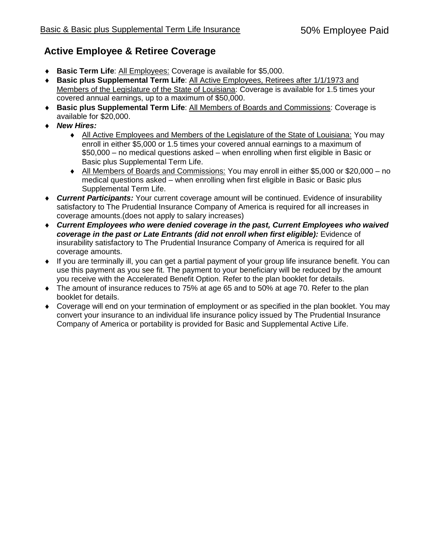#### **Active Employee & Retiree Coverage**

- **Basic Term Life**: All Employees: Coverage is available for \$5,000.
- **Basic plus Supplemental Term Life**: All Active Employees, Retirees after 1/1/1973 and Members of the Legislature of the State of Louisiana: Coverage is available for 1.5 times your covered annual earnings, up to a maximum of \$50,000.
- **Basic plus Supplemental Term Life**: All Members of Boards and Commissions: Coverage is available for \$20,000.
- *New Hires:*
	- All Active Employees and Members of the Legislature of the State of Louisiana: You may enroll in either \$5,000 or 1.5 times your covered annual earnings to a maximum of \$50,000 – no medical questions asked – when enrolling when first eligible in Basic or Basic plus Supplemental Term Life.
	- All Members of Boards and Commissions: You may enroll in either \$5,000 or \$20,000 no medical questions asked – when enrolling when first eligible in Basic or Basic plus Supplemental Term Life.
- *Current Participants:* Your current coverage amount will be continued. Evidence of insurability satisfactory to The Prudential Insurance Company of America is required for all increases in coverage amounts.(does not apply to salary increases)
- *Current Employees who were denied coverage in the past, Current Employees who waived coverage in the past or Late Entrants (did not enroll when first eligible):* Evidence of insurability satisfactory to The Prudential Insurance Company of America is required for all coverage amounts.
- If you are terminally ill, you can get a partial payment of your group life insurance benefit. You can use this payment as you see fit. The payment to your beneficiary will be reduced by the amount you receive with the Accelerated Benefit Option. Refer to the plan booklet for details.
- The amount of insurance reduces to 75% at age 65 and to 50% at age 70. Refer to the plan booklet for details.
- Coverage will end on your termination of employment or as specified in the plan booklet. You may convert your insurance to an individual life insurance policy issued by The Prudential Insurance Company of America or portability is provided for Basic and Supplemental Active Life.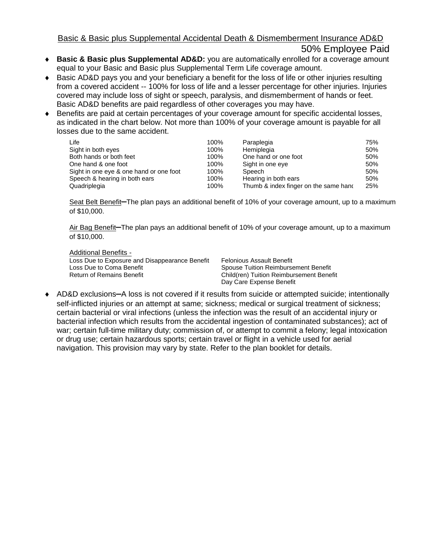#### Basic & Basic plus Supplemental Accidental Death & Dismemberment Insurance AD&D

#### 50% Employee Paid

- **Basic & Basic plus Supplemental AD&D:** you are automatically enrolled for a coverage amount equal to your Basic and Basic plus Supplemental Term Life coverage amount.
- ◆ Basic AD&D pays you and your beneficiary a benefit for the loss of life or other injuries resulting from a covered accident -- 100% for loss of life and a lesser percentage for other injuries. Injuries covered may include loss of sight or speech, paralysis, and dismemberment of hands or feet. Basic AD&D benefits are paid regardless of other coverages you may have.
- Benefits are paid at certain percentages of your coverage amount for specific accidental losses, as indicated in the chart below. Not more than 100% of your coverage amount is payable for all losses due to the same accident.

| Life                                    | 100% | Paraplegia                            | 75% |
|-----------------------------------------|------|---------------------------------------|-----|
| Sight in both eyes                      | 100% | Hemiplegia                            | 50% |
| Both hands or both feet                 | 100% | One hand or one foot                  | 50% |
| One hand & one foot                     | 100% | Sight in one eye                      | 50% |
| Sight in one eye & one hand or one foot | 100% | Speech                                | 50% |
| Speech & hearing in both ears           | 100% | Hearing in both ears                  | 50% |
| Quadriplegia                            | 100% | Thumb & index finger on the same hand | 25% |

Seat Belt Benefit**—**The plan pays an additional benefit of 10% of your coverage amount, up to a maximum of \$10,000.

Air Bag Benefit**—**The plan pays an additional benefit of 10% of your coverage amount, up to a maximum of \$10,000.

Additional Benefits - Loss Due to Exposure and Disappearance Benefit Loss Due to Coma Benefit Return of Remains Benefit

Felonious Assault Benefit Spouse Tuition Reimbursement Benefit Child(ren) Tuition Reimbursement Benefit Day Care Expense Benefit

 AD&D exclusions**—**A loss is not covered if it results from suicide or attempted suicide; intentionally self-inflicted injuries or an attempt at same; sickness; medical or surgical treatment of sickness; certain bacterial or viral infections (unless the infection was the result of an accidental injury or bacterial infection which results from the accidental ingestion of contaminated substances); act of war; certain full-time military duty; commission of, or attempt to commit a felony; legal intoxication or drug use; certain hazardous sports; certain travel or flight in a vehicle used for aerial navigation. This provision may vary by state. Refer to the plan booklet for details.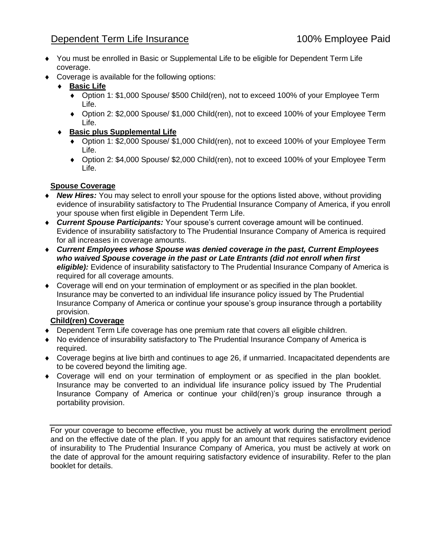#### Dependent Term Life Insurance 100% Employee Paid

- You must be enrolled in Basic or Supplemental Life to be eligible for Dependent Term Life coverage.
- Coverage is available for the following options:
	- **Basic Life**
		- Option 1: \$1,000 Spouse/ \$500 Child(ren), not to exceed 100% of your Employee Term Life.
		- Option 2: \$2,000 Spouse/ \$1,000 Child(ren), not to exceed 100% of your Employee Term Life.
	- **Basic plus Supplemental Life**
		- ◆ Option 1: \$2,000 Spouse/ \$1,000 Child(ren), not to exceed 100% of your Employee Term Life.
		- Option 2: \$4,000 Spouse/ \$2,000 Child(ren), not to exceed 100% of your Employee Term Life.

#### **Spouse Coverage**

- *New Hires:* You may select to enroll your spouse for the options listed above, without providing evidence of insurability satisfactory to The Prudential Insurance Company of America, if you enroll your spouse when first eligible in Dependent Term Life.
- *Current Spouse Participants:* Your spouse's current coverage amount will be continued. Evidence of insurability satisfactory to The Prudential Insurance Company of America is required for all increases in coverage amounts.
- *Current Employees whose Spouse was denied coverage in the past, Current Employees who waived Spouse coverage in the past or Late Entrants (did not enroll when first eligible):* Evidence of insurability satisfactory to The Prudential Insurance Company of America is required for all coverage amounts.
- Coverage will end on your termination of employment or as specified in the plan booklet. Insurance may be converted to an individual life insurance policy issued by The Prudential Insurance Company of America or continue your spouse's group insurance through a portability provision.

#### **Child(ren) Coverage**

- Dependent Term Life coverage has one premium rate that covers all eligible children.
- No evidence of insurability satisfactory to The Prudential Insurance Company of America is required.
- Coverage begins at live birth and continues to age 26, if unmarried. Incapacitated dependents are to be covered beyond the limiting age.
- Coverage will end on your termination of employment or as specified in the plan booklet. Insurance may be converted to an individual life insurance policy issued by The Prudential Insurance Company of America or continue your child(ren)'s group insurance through a portability provision.

For your coverage to become effective, you must be actively at work during the enrollment period and on the effective date of the plan. If you apply for an amount that requires satisfactory evidence of insurability to The Prudential Insurance Company of America, you must be actively at work on the date of approval for the amount requiring satisfactory evidence of insurability. Refer to the plan booklet for details.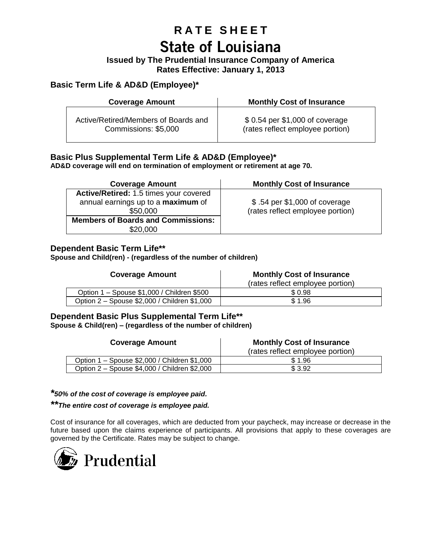## **R A T E S H E E T State of Louisiana**

#### **Issued by The Prudential Insurance Company of America Rates Effective: January 1, 2013**

#### **Basic Term Life & AD&D (Employee)\***

| <b>Coverage Amount</b>               | <b>Monthly Cost of Insurance</b> |
|--------------------------------------|----------------------------------|
| Active/Retired/Members of Boards and | \$ 0.54 per \$1,000 of coverage  |
| Commissions: \$5,000                 | (rates reflect employee portion) |

#### **Basic Plus Supplemental Term Life & AD&D (Employee)\***

**AD&D coverage will end on termination of employment or retirement at age 70.**

| <b>Coverage Amount</b>                                                                   | <b>Monthly Cost of Insurance</b>                                  |
|------------------------------------------------------------------------------------------|-------------------------------------------------------------------|
| Active/Retired: 1.5 times your covered<br>annual earnings up to a maximum of<br>\$50,000 | \$.54 per \$1,000 of coverage<br>(rates reflect employee portion) |
| <b>Members of Boards and Commissions:</b><br>\$20,000                                    |                                                                   |

#### **Dependent Basic Term Life\*\***

**Spouse and Child(ren) - (regardless of the number of children)**

| <b>Coverage Amount</b>                       | <b>Monthly Cost of Insurance</b><br>(rates reflect employee portion) |
|----------------------------------------------|----------------------------------------------------------------------|
| Option 1 - Spouse \$1,000 / Children \$500   | \$ 0.98                                                              |
| Option 2 – Spouse \$2,000 / Children \$1,000 | \$1.96                                                               |

#### **Dependent Basic Plus Supplemental Term Life\*\* Spouse & Child(ren) – (regardless of the number of children)**

| <b>Coverage Amount</b>                       | <b>Monthly Cost of Insurance</b><br>(rates reflect employee portion) |  |
|----------------------------------------------|----------------------------------------------------------------------|--|
| Option 1 – Spouse \$2,000 / Children \$1,000 | \$1.96                                                               |  |
| Option 2 - Spouse \$4,000 / Children \$2,000 | \$3.92                                                               |  |

#### *\*50% of the cost of coverage is employee paid.*

*\*\*The entire cost of coverage is employee paid.*

Cost of insurance for all coverages, which are deducted from your paycheck, may increase or decrease in the future based upon the claims experience of participants. All provisions that apply to these coverages are governed by the Certificate. Rates may be subject to change.

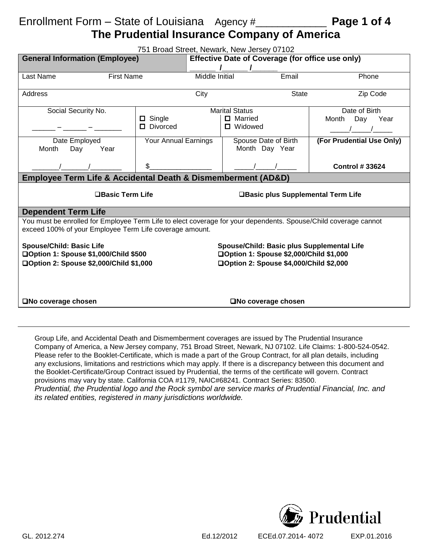## Enrollment Form – State of Louisiana Agency #\_\_\_\_\_\_\_\_\_\_\_\_\_ **Page 1 of 4**

### **The Prudential Insurance Company of America**

| 751 Broad Street, Newark, New Jersey 07102                                                                                                                                                                                                              |                       |                                        |       |                           |
|---------------------------------------------------------------------------------------------------------------------------------------------------------------------------------------------------------------------------------------------------------|-----------------------|----------------------------------------|-------|---------------------------|
| <b>General Information (Employee)</b><br>Effective Date of Coverage (for office use only)                                                                                                                                                               |                       |                                        |       |                           |
|                                                                                                                                                                                                                                                         |                       |                                        |       |                           |
| Last Name<br><b>First Name</b>                                                                                                                                                                                                                          | <b>Middle Initial</b> |                                        | Email | Phone                     |
| Address                                                                                                                                                                                                                                                 | City                  |                                        | State | Zip Code                  |
| Social Security No.                                                                                                                                                                                                                                     |                       | <b>Marital Status</b>                  |       | Date of Birth             |
|                                                                                                                                                                                                                                                         | $\Box$ Single         | □ Married                              |       | Month<br>Day<br>Year      |
|                                                                                                                                                                                                                                                         | $\Box$ Divorced       | $\Box$ Widowed                         |       |                           |
| Date Employed<br>Month<br>Year<br>Day                                                                                                                                                                                                                   | Your Annual Earnings  | Spouse Date of Birth<br>Month Day Year |       | (For Prudential Use Only) |
|                                                                                                                                                                                                                                                         | \$                    |                                        |       | <b>Control #33624</b>     |
| <b>Employee Term Life &amp; Accidental Death &amp; Dismemberment (AD&amp;D)</b>                                                                                                                                                                         |                       |                                        |       |                           |
| $\Box$ Basic Term Life<br>□Basic plus Supplemental Term Life                                                                                                                                                                                            |                       |                                        |       |                           |
| <b>Dependent Term Life</b>                                                                                                                                                                                                                              |                       |                                        |       |                           |
| You must be enrolled for Employee Term Life to elect coverage for your dependents. Spouse/Child coverage cannot<br>exceed 100% of your Employee Term Life coverage amount.                                                                              |                       |                                        |       |                           |
| <b>Spouse/Child: Basic Life</b><br>Spouse/Child: Basic plus Supplemental Life<br>□Option 1: Spouse \$2,000/Child \$1,000<br>□Option 1: Spouse \$1,000/Child \$500<br>□Option 2: Spouse \$2,000/Child \$1,000<br>□Option 2: Spouse \$4,000/Child \$2,000 |                       |                                        |       |                           |
|                                                                                                                                                                                                                                                         |                       |                                        |       |                           |
| □No coverage chosen<br>□No coverage chosen                                                                                                                                                                                                              |                       |                                        |       |                           |

Group Life, and Accidental Death and Dismemberment coverages are issued by The Prudential Insurance Company of America, a New Jersey company, 751 Broad Street, Newark, NJ 07102. Life Claims: 1-800-524-0542. Please refer to the Booklet-Certificate, which is made a part of the Group Contract, for all plan details, including any exclusions, limitations and restrictions which may apply. If there is a discrepancy between this document and the Booklet-Certificate/Group Contract issued by Prudential, the terms of the certificate will govern. Contract provisions may vary by state. California COA #1179, NAIC#68241. Contract Series: 83500. *Prudential, the Prudential logo and the Rock symbol are service marks of Prudential Financial, Inc. and its related entities, registered in many jurisdictions worldwide.*

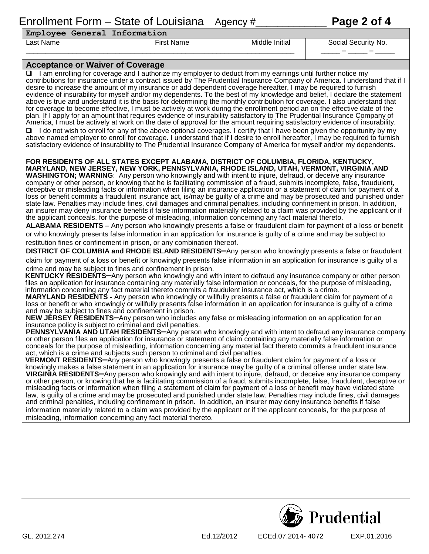### Enrollment Form – State of Louisiana Agency #\_\_\_\_\_\_\_\_\_\_\_\_\_ **Page 2 of 4**

| GI 2012 274 |  |
|-------------|--|

| Employee General Information |  |  |
|------------------------------|--|--|

#### **\_\_\_\_\_\_\_\_\_\_\_\_\_\_\_\_\_\_\_\_\_\_\_\_\_\_\_\_\_\_\_\_\_\_\_\_\_\_\_\_\_\_\_\_\_\_\_\_\_\_\_\_\_\_\_\_\_\_\_\_\_\_\_\_\_\_\_\_\_ \_\_\_\_\_ – \_\_\_\_\_ – \_\_\_\_\_**

Last Name The Social Security No. (1995) First Name The Social Security No. (1996) Social Security No.

#### **Acceptance or Waiver of Coverage**

□ I am enrolling for coverage and I authorize my employer to deduct from my earnings until further notice my contributions for insurance under a contract issued by The Prudential Insurance Company of America. I understand that if I desire to increase the amount of my insurance or add dependent coverage hereafter, I may be required to furnish evidence of insurability for myself and/or my dependents. To the best of my knowledge and belief, I declare the statement above is true and understand it is the basis for determining the monthly contribution for coverage. I also understand that for coverage to become effective, I must be actively at work during the enrollment period an on the effective date of the plan. If I apply for an amount that requires evidence of insurability satisfactory to The Prudential Insurance Company of America, I must be actively at work on the date of approval for the amount requiring satisfactory evidence of insurability. I do not wish to enroll for any of the above optional coverages. I certify that I have been given the opportunity by my

above named employer to enroll for coverage. I understand that if I desire to enroll hereafter, I may be required to furnish satisfactory evidence of insurability to The Prudential Insurance Company of America for myself and/or my dependents.

#### **FOR RESIDENTS OF ALL STATES EXCEPT ALABAMA, DISTRICT OF COLUMBIA, FLORIDA, KENTUCKY, MARYLAND, NEW JERSEY, NEW YORK, PENNSYLVANIA, RHODE ISLAND, UTAH, VERMONT, VIRGINIA AND**

**WASHINGTON; WARNING**: Any person who knowingly and with intent to injure, defraud, or deceive any insurance company or other person, or knowing that he is facilitating commission of a fraud, submits incomplete, false, fraudulent, deceptive or misleading facts or information when filing an insurance application or a statement of claim for payment of a loss or benefit commits a fraudulent insurance act, is/may be guilty of a crime and may be prosecuted and punished under state law. Penalties may include fines, civil damages and criminal penalties, including confinement in prison. In addition, an insurer may deny insurance benefits if false information materially related to a claim was provided by the applicant or if the applicant conceals, for the purpose of misleading, information concerning any fact material thereto.

**ALABAMA RESIDENTS –** Any person who knowingly presents a false or fraudulent claim for payment of a loss or benefit or who knowingly presents false information in an application for insurance is guilty of a crime and may be subject to restitution fines or confinement in prison, or any combination thereof.

**DISTRICT OF COLUMBIA and RHODE ISLAND RESIDENTS—**Any person who knowingly presents a false or fraudulent claim for payment of a loss or benefit or knowingly presents false information in an application for insurance is guilty of a crime and may be subject to fines and confinement in prison.

**KENTUCKY RESIDENTS—**Any person who knowingly and with intent to defraud any insurance company or other person files an application for insurance containing any materially false information or conceals, for the purpose of misleading, information concerning any fact material thereto commits a fraudulent insurance act, which is a crime.

**MARYLAND RESIDENTS -** Any person who knowingly or willfully presents a false or fraudulent claim for payment of a loss or benefit or who knowingly or willfully presents false information in an application for insurance is guilty of a crime and may be subject to fines and confinement in prison.

**NEW JÉRSEY RESIDENTS-Any person who includes any false or misleading information on an application for an** insurance policy is subject to criminal and civil penalties.

**PENNSYLVANIA AND UTAH RESIDENTS—**Any person who knowingly and with intent to defraud any insurance company or other person files an application for insurance or statement of claim containing any materially false information or conceals for the purpose of misleading, information concerning any material fact thereto commits a fraudulent insurance act, which is a crime and subjects such person to criminal and civil penalties.

**VERMONT RESIDENTS—**Any person who knowingly presents a false or fraudulent claim for payment of a loss or knowingly makes a false statement in an application for insurance may be guilty of a criminal offense under state law. **VIRGINIA RESIDENTS—**Any person who knowingly and with intent to injure, defraud, or deceive any insurance company or other person, or knowing that he is facilitating commission of a fraud, submits incomplete, false, fraudulent, deceptive or misleading facts or information when filing a statement of claim for payment of a loss or benefit may have violated state law, is guilty of a crime and may be prosecuted and punished under state law. Penalties may include fines, civil damages and criminal penalties, including confinement in prison. In addition, an insurer may deny insurance benefits if false information materially related to a claim was provided by the applicant or if the applicant conceals, for the purpose of misleading, information concerning any fact material thereto.

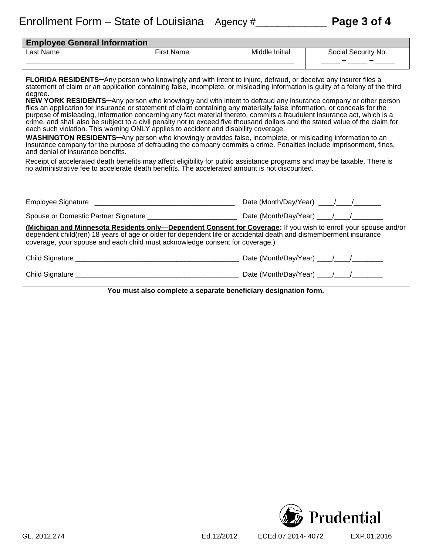| <b>Employee General Information</b>                                                                                                                                                                                                                                                                                                                                                                                                                                                                                                                                                                                                                                                                                                                                                                                                                                                                                                                                                                                                                                                                                                                                                                                                                                                                                                                                               |                                                                                                                                                                                                                                                                                                                     |                |                     |  |
|-----------------------------------------------------------------------------------------------------------------------------------------------------------------------------------------------------------------------------------------------------------------------------------------------------------------------------------------------------------------------------------------------------------------------------------------------------------------------------------------------------------------------------------------------------------------------------------------------------------------------------------------------------------------------------------------------------------------------------------------------------------------------------------------------------------------------------------------------------------------------------------------------------------------------------------------------------------------------------------------------------------------------------------------------------------------------------------------------------------------------------------------------------------------------------------------------------------------------------------------------------------------------------------------------------------------------------------------------------------------------------------|---------------------------------------------------------------------------------------------------------------------------------------------------------------------------------------------------------------------------------------------------------------------------------------------------------------------|----------------|---------------------|--|
| Last Name                                                                                                                                                                                                                                                                                                                                                                                                                                                                                                                                                                                                                                                                                                                                                                                                                                                                                                                                                                                                                                                                                                                                                                                                                                                                                                                                                                         | <b>First Name</b>                                                                                                                                                                                                                                                                                                   | Middle Initial | Social Security No. |  |
|                                                                                                                                                                                                                                                                                                                                                                                                                                                                                                                                                                                                                                                                                                                                                                                                                                                                                                                                                                                                                                                                                                                                                                                                                                                                                                                                                                                   |                                                                                                                                                                                                                                                                                                                     |                | _____               |  |
| <b>FLORIDA RESIDENTS-Any person who knowingly and with intent to injure, defraud, or deceive any insurer files a</b><br>statement of claim or an application containing false, incomplete, or misleading information is guilty of a felony of the third<br>degree.<br><b>NEW YORK RESIDENTS--</b> Any person who knowingly and with intent to defraud any insurance company or other person<br>files an application for insurance or statement of claim containing any materially false information, or conceals for the<br>purpose of misleading, information concerning any fact material thereto, commits a fraudulent insurance act, which is a<br>crime, and shall also be subject to a civil penalty not to exceed five thousand dollars and the stated value of the claim for<br>each such violation. This warning ONLY applies to accident and disability coverage.<br>WASHINGTON RESIDENTS-Any person who knowingly provides false, incomplete, or misleading information to an<br>insurance company for the purpose of defrauding the company commits a crime. Penalties include imprisonment, fines,<br>and denial of insurance benefits.<br>Receipt of accelerated death benefits may affect eligibility for public assistance programs and may be taxable. There is<br>no administrative fee to accelerate death benefits. The accelerated amount is not discounted. |                                                                                                                                                                                                                                                                                                                     |                |                     |  |
|                                                                                                                                                                                                                                                                                                                                                                                                                                                                                                                                                                                                                                                                                                                                                                                                                                                                                                                                                                                                                                                                                                                                                                                                                                                                                                                                                                                   |                                                                                                                                                                                                                                                                                                                     |                |                     |  |
|                                                                                                                                                                                                                                                                                                                                                                                                                                                                                                                                                                                                                                                                                                                                                                                                                                                                                                                                                                                                                                                                                                                                                                                                                                                                                                                                                                                   |                                                                                                                                                                                                                                                                                                                     |                |                     |  |
|                                                                                                                                                                                                                                                                                                                                                                                                                                                                                                                                                                                                                                                                                                                                                                                                                                                                                                                                                                                                                                                                                                                                                                                                                                                                                                                                                                                   | (Michigan and Minnesota Residents only-Dependent Consent for Coverage: If you wish to enroll your spouse and/or<br>dependent child(ren) 18 years of age or older for dependent life or accidental death and dismemberment insurance<br>coverage, your spouse and each child must acknowledge consent for coverage.) |                |                     |  |
|                                                                                                                                                                                                                                                                                                                                                                                                                                                                                                                                                                                                                                                                                                                                                                                                                                                                                                                                                                                                                                                                                                                                                                                                                                                                                                                                                                                   |                                                                                                                                                                                                                                                                                                                     |                |                     |  |
|                                                                                                                                                                                                                                                                                                                                                                                                                                                                                                                                                                                                                                                                                                                                                                                                                                                                                                                                                                                                                                                                                                                                                                                                                                                                                                                                                                                   |                                                                                                                                                                                                                                                                                                                     |                |                     |  |
|                                                                                                                                                                                                                                                                                                                                                                                                                                                                                                                                                                                                                                                                                                                                                                                                                                                                                                                                                                                                                                                                                                                                                                                                                                                                                                                                                                                   | You must also complete a separate beneficiary designation form.                                                                                                                                                                                                                                                     |                |                     |  |

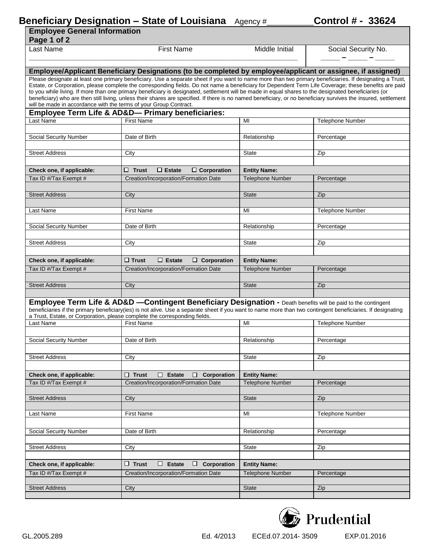#### **Beneficiary Designation – State of Louisiana** Agency #\_\_\_\_\_\_\_\_\_\_\_**Control # - 33624**

| <b>Employee General Information</b><br>Page 1 of 2                                                                                                                                                                                                                                                                                                                                                                                                                                                                                                                                                                                                                                                                                                                                                                                |                                                                                                                                                                                                                                                                              |                         |                         |  |  |
|-----------------------------------------------------------------------------------------------------------------------------------------------------------------------------------------------------------------------------------------------------------------------------------------------------------------------------------------------------------------------------------------------------------------------------------------------------------------------------------------------------------------------------------------------------------------------------------------------------------------------------------------------------------------------------------------------------------------------------------------------------------------------------------------------------------------------------------|------------------------------------------------------------------------------------------------------------------------------------------------------------------------------------------------------------------------------------------------------------------------------|-------------------------|-------------------------|--|--|
| Last Name                                                                                                                                                                                                                                                                                                                                                                                                                                                                                                                                                                                                                                                                                                                                                                                                                         | <b>First Name</b>                                                                                                                                                                                                                                                            | Middle Initial          | Social Security No.     |  |  |
|                                                                                                                                                                                                                                                                                                                                                                                                                                                                                                                                                                                                                                                                                                                                                                                                                                   |                                                                                                                                                                                                                                                                              |                         |                         |  |  |
|                                                                                                                                                                                                                                                                                                                                                                                                                                                                                                                                                                                                                                                                                                                                                                                                                                   |                                                                                                                                                                                                                                                                              |                         |                         |  |  |
| Employee/Applicant Beneficiary Designations (to be completed by employee/applicant or assignee, if assigned)<br>Please designate at least one primary beneficiary. Use a separate sheet if you want to name more than two primary beneficiaries. If designating a Trust,<br>Estate, or Corporation, please complete the corresponding fields. Do not name a beneficiary for Dependent Term Life Coverage; these benefits are paid<br>to you while living. If more than one primary beneficiary is designated, settlement will be made in equal shares to the designated beneficiaries (or<br>beneficiary) who are then still living, unless their shares are specified. If there is no named beneficiary, or no beneficiary survives the insured, settlement<br>will be made in accordance with the terms of your Group Contract. |                                                                                                                                                                                                                                                                              |                         |                         |  |  |
| Last Name                                                                                                                                                                                                                                                                                                                                                                                                                                                                                                                                                                                                                                                                                                                                                                                                                         | <b>Employee Term Life &amp; AD&amp;D— Primary beneficiaries:</b><br><b>First Name</b>                                                                                                                                                                                        | MI                      | <b>Telephone Number</b> |  |  |
|                                                                                                                                                                                                                                                                                                                                                                                                                                                                                                                                                                                                                                                                                                                                                                                                                                   |                                                                                                                                                                                                                                                                              |                         |                         |  |  |
| Social Security Number                                                                                                                                                                                                                                                                                                                                                                                                                                                                                                                                                                                                                                                                                                                                                                                                            | Date of Birth                                                                                                                                                                                                                                                                | Relationship            | Percentage              |  |  |
| <b>Street Address</b>                                                                                                                                                                                                                                                                                                                                                                                                                                                                                                                                                                                                                                                                                                                                                                                                             | City                                                                                                                                                                                                                                                                         | <b>State</b>            | Zip                     |  |  |
|                                                                                                                                                                                                                                                                                                                                                                                                                                                                                                                                                                                                                                                                                                                                                                                                                                   |                                                                                                                                                                                                                                                                              |                         |                         |  |  |
| Check one, if applicable:                                                                                                                                                                                                                                                                                                                                                                                                                                                                                                                                                                                                                                                                                                                                                                                                         | $\Box$ Estate<br>$\square$ Trust<br>$\Box$ Corporation                                                                                                                                                                                                                       | <b>Entity Name:</b>     |                         |  |  |
| Tax ID #/Tax Exempt #                                                                                                                                                                                                                                                                                                                                                                                                                                                                                                                                                                                                                                                                                                                                                                                                             | Creation/Incorporation/Formation Date                                                                                                                                                                                                                                        | Telephone Number        | Percentage              |  |  |
| <b>Street Address</b>                                                                                                                                                                                                                                                                                                                                                                                                                                                                                                                                                                                                                                                                                                                                                                                                             | City                                                                                                                                                                                                                                                                         | <b>State</b>            | Zip                     |  |  |
|                                                                                                                                                                                                                                                                                                                                                                                                                                                                                                                                                                                                                                                                                                                                                                                                                                   |                                                                                                                                                                                                                                                                              |                         |                         |  |  |
| Last Name                                                                                                                                                                                                                                                                                                                                                                                                                                                                                                                                                                                                                                                                                                                                                                                                                         | <b>First Name</b>                                                                                                                                                                                                                                                            | MI                      | <b>Telephone Number</b> |  |  |
| Social Security Number                                                                                                                                                                                                                                                                                                                                                                                                                                                                                                                                                                                                                                                                                                                                                                                                            | Date of Birth                                                                                                                                                                                                                                                                | Relationship            | Percentage              |  |  |
|                                                                                                                                                                                                                                                                                                                                                                                                                                                                                                                                                                                                                                                                                                                                                                                                                                   |                                                                                                                                                                                                                                                                              |                         |                         |  |  |
| <b>Street Address</b>                                                                                                                                                                                                                                                                                                                                                                                                                                                                                                                                                                                                                                                                                                                                                                                                             | City                                                                                                                                                                                                                                                                         | <b>State</b>            | Zip                     |  |  |
|                                                                                                                                                                                                                                                                                                                                                                                                                                                                                                                                                                                                                                                                                                                                                                                                                                   |                                                                                                                                                                                                                                                                              |                         |                         |  |  |
| Check one, if applicable:                                                                                                                                                                                                                                                                                                                                                                                                                                                                                                                                                                                                                                                                                                                                                                                                         | $\Box$ Trust<br>$\Box$ Estate<br>$\Box$ Corporation                                                                                                                                                                                                                          | <b>Entity Name:</b>     |                         |  |  |
| Tax ID #/Tax Exempt #                                                                                                                                                                                                                                                                                                                                                                                                                                                                                                                                                                                                                                                                                                                                                                                                             | Creation/Incorporation/Formation Date                                                                                                                                                                                                                                        | <b>Telephone Number</b> | Percentage              |  |  |
| <b>Street Address</b>                                                                                                                                                                                                                                                                                                                                                                                                                                                                                                                                                                                                                                                                                                                                                                                                             | City                                                                                                                                                                                                                                                                         | <b>State</b>            | Zip                     |  |  |
|                                                                                                                                                                                                                                                                                                                                                                                                                                                                                                                                                                                                                                                                                                                                                                                                                                   |                                                                                                                                                                                                                                                                              |                         |                         |  |  |
| a Trust, Estate, or Corporation, please complete the corresponding fields.                                                                                                                                                                                                                                                                                                                                                                                                                                                                                                                                                                                                                                                                                                                                                        | Employee Term Life & AD&D -Contingent Beneficiary Designation - Death benefits will be paid to the contingent<br>beneficiaries if the primary beneficiary(ies) is not alive. Use a separate sheet if you want to name more than two contingent beneficiaries. If designating |                         |                         |  |  |
| Last Name                                                                                                                                                                                                                                                                                                                                                                                                                                                                                                                                                                                                                                                                                                                                                                                                                         | <b>First Name</b>                                                                                                                                                                                                                                                            | MI                      | Telephone Number        |  |  |
|                                                                                                                                                                                                                                                                                                                                                                                                                                                                                                                                                                                                                                                                                                                                                                                                                                   |                                                                                                                                                                                                                                                                              |                         |                         |  |  |
| <b>Social Security Number</b>                                                                                                                                                                                                                                                                                                                                                                                                                                                                                                                                                                                                                                                                                                                                                                                                     | Date of Birth                                                                                                                                                                                                                                                                | Relationship            | Percentage              |  |  |
|                                                                                                                                                                                                                                                                                                                                                                                                                                                                                                                                                                                                                                                                                                                                                                                                                                   |                                                                                                                                                                                                                                                                              |                         |                         |  |  |
| <b>Street Address</b>                                                                                                                                                                                                                                                                                                                                                                                                                                                                                                                                                                                                                                                                                                                                                                                                             | City                                                                                                                                                                                                                                                                         | <b>State</b>            | Zip                     |  |  |
| Check one, if applicable:                                                                                                                                                                                                                                                                                                                                                                                                                                                                                                                                                                                                                                                                                                                                                                                                         | $\Box$ Trust<br><b>Estate</b><br>0.<br>$\Box$<br>Corporation                                                                                                                                                                                                                 | <b>Entity Name:</b>     |                         |  |  |
| Tax ID #/Tax Exempt #                                                                                                                                                                                                                                                                                                                                                                                                                                                                                                                                                                                                                                                                                                                                                                                                             | Creation/Incorporation/Formation Date                                                                                                                                                                                                                                        | <b>Telephone Number</b> | Percentage              |  |  |
|                                                                                                                                                                                                                                                                                                                                                                                                                                                                                                                                                                                                                                                                                                                                                                                                                                   |                                                                                                                                                                                                                                                                              |                         |                         |  |  |
| <b>Street Address</b>                                                                                                                                                                                                                                                                                                                                                                                                                                                                                                                                                                                                                                                                                                                                                                                                             | City                                                                                                                                                                                                                                                                         | <b>State</b>            | Zip                     |  |  |
| Last Name                                                                                                                                                                                                                                                                                                                                                                                                                                                                                                                                                                                                                                                                                                                                                                                                                         | <b>First Name</b>                                                                                                                                                                                                                                                            | MI                      | <b>Telephone Number</b> |  |  |
|                                                                                                                                                                                                                                                                                                                                                                                                                                                                                                                                                                                                                                                                                                                                                                                                                                   |                                                                                                                                                                                                                                                                              |                         |                         |  |  |
| Social Security Number                                                                                                                                                                                                                                                                                                                                                                                                                                                                                                                                                                                                                                                                                                                                                                                                            | Date of Birth                                                                                                                                                                                                                                                                | Relationship            | Percentage              |  |  |
|                                                                                                                                                                                                                                                                                                                                                                                                                                                                                                                                                                                                                                                                                                                                                                                                                                   |                                                                                                                                                                                                                                                                              |                         |                         |  |  |
| <b>Street Address</b>                                                                                                                                                                                                                                                                                                                                                                                                                                                                                                                                                                                                                                                                                                                                                                                                             | City                                                                                                                                                                                                                                                                         | <b>State</b>            | Zip                     |  |  |
| Check one, if applicable:                                                                                                                                                                                                                                                                                                                                                                                                                                                                                                                                                                                                                                                                                                                                                                                                         | $\Box$ Trust<br>$\Box$ Estate<br>$\Box$ Corporation                                                                                                                                                                                                                          | <b>Entity Name:</b>     |                         |  |  |
| Tax ID #/Tax Exempt #                                                                                                                                                                                                                                                                                                                                                                                                                                                                                                                                                                                                                                                                                                                                                                                                             | Creation/Incorporation/Formation Date                                                                                                                                                                                                                                        | <b>Telephone Number</b> | Percentage              |  |  |
|                                                                                                                                                                                                                                                                                                                                                                                                                                                                                                                                                                                                                                                                                                                                                                                                                                   |                                                                                                                                                                                                                                                                              |                         |                         |  |  |
| <b>Street Address</b>                                                                                                                                                                                                                                                                                                                                                                                                                                                                                                                                                                                                                                                                                                                                                                                                             | City                                                                                                                                                                                                                                                                         | <b>State</b>            | Zip                     |  |  |